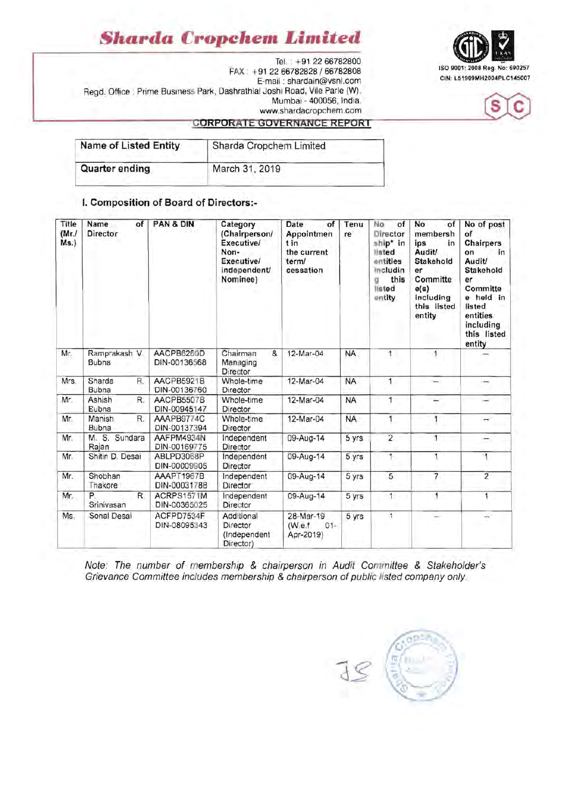Tel. : +91 22 66782800<br>FAX : +91 22 66782828 / 66782808 ISO 9001: 2008 Reg. No: 690257<br>E-mail : shardain@vsnl.com CIN: L51909MH2004PLC145007 Regd. Office . Prime Business Park, Dashrathlal Joshi Road, Vile Parle (W). Mumbai - 400056, India. www.shardacropchem.com





#### **CORPORATE GOVERNANCE REPORT**

| <b>Name of Listed Entity</b> | Sharda Cropchem Limited |  |  |
|------------------------------|-------------------------|--|--|
| Quarter ending               | March 31, 2019          |  |  |
|                              |                         |  |  |

#### I. Composition of Board of Directors:

| Title<br>(Mr.<br>Ms.) | Name<br>of<br>Director        | <b>PAN &amp; DIN</b>       | Category<br>(Chairperson/<br>Executive/<br>Non-<br>Executive/<br>independent/<br>Nominee) | Date<br>of<br>Appointmen<br>t in<br>the current<br>term/<br>cessation | Tenu<br>re | No<br>of<br>Director<br>ship* in<br><b>Ilsted</b><br>entities<br>Includin<br>this<br>đ<br>listed<br>entity | of<br>No<br>membersh<br>ips<br>in<br>Audit/<br><b>Stakehold</b><br>er<br>Committe<br>e(s)<br>including<br>this listed<br>entity | No of post<br>of<br>Chairpers<br>in<br>on<br><b>Audit/</b><br>Stakehold<br>er<br>Committe<br>e held in<br>listed<br>entities<br>including<br>this listed<br>entity |
|-----------------------|-------------------------------|----------------------------|-------------------------------------------------------------------------------------------|-----------------------------------------------------------------------|------------|------------------------------------------------------------------------------------------------------------|---------------------------------------------------------------------------------------------------------------------------------|--------------------------------------------------------------------------------------------------------------------------------------------------------------------|
| Mr.                   | Ramprakash V.<br><b>Bubna</b> | AACPB6260D<br>DIN-00136568 | Chairman<br>&<br>Managing<br>Director                                                     | 12-Mar-04                                                             | <b>NA</b>  | $\overline{1}$                                                                                             | 1                                                                                                                               |                                                                                                                                                                    |
| Mrs.                  | Sharda<br>R.<br>Bubna         | AACPB5921B<br>DIN-00136760 | Whole-time<br>Director                                                                    | 12-Mar-04                                                             | <b>NA</b>  | $\overline{1}$                                                                                             | -                                                                                                                               | $\rightarrow$                                                                                                                                                      |
| Mr.                   | Ashish<br>R.<br>Eubna         | AACPB5507B<br>DIN-00945147 | Whole-time<br>Director                                                                    | 12-Mar-04                                                             | <b>NA</b>  | 1                                                                                                          | -                                                                                                                               |                                                                                                                                                                    |
| Mr.                   | Manish<br>R.<br>Bubna         | AAAPB9774C<br>DIN-00137394 | Whole-time<br>Director                                                                    | 12-Mar-04                                                             | <b>NA</b>  | 1                                                                                                          | 1                                                                                                                               | $\overline{\phantom{a}}$                                                                                                                                           |
| Mr.                   | M. S. Sundara<br>Rajan        | AAFPM4934N<br>DIN-00169775 | Independent<br>Director                                                                   | 09-Aug-14                                                             | 5 yrs      | $\overline{2}$                                                                                             | 1                                                                                                                               |                                                                                                                                                                    |
| Mr.                   | Shitin D. Desai               | ABLPD3068P<br>DIN-00009905 | Independent<br>Director                                                                   | 09-Aug-14                                                             | 5 yrs      | 1                                                                                                          | 1                                                                                                                               | Ħ                                                                                                                                                                  |
| Mr.                   | Shobhan<br>Thakore            | AAAPT1967B<br>DIN-00031788 | Independent<br>Director                                                                   | 09-Aug-14                                                             | 5 yrs      | 5                                                                                                          | 7                                                                                                                               | $\overline{2}$                                                                                                                                                     |
| Mr.                   | P.<br>R.<br>Srinivasan        | ACRPS1571M<br>DIN-00365025 | Independent<br>Director                                                                   | 09-Aug-14                                                             | 5 yrs      | 1                                                                                                          | 1                                                                                                                               | 1                                                                                                                                                                  |
| Ms.                   | Sonal Desai                   | ACFPD7534F<br>DIN-08095343 | Additional<br>Director<br>(Independent<br>Director)                                       | 28-Mar-19<br>(W.e.f)<br>$01 -$<br>Apr-2019)                           | 5 yrs      | 1                                                                                                          | -                                                                                                                               |                                                                                                                                                                    |

Note: The number of membership & chairperson in Audit Committee & Stakeholder's Grievance Committee includes membership & chairperson of public listed company only.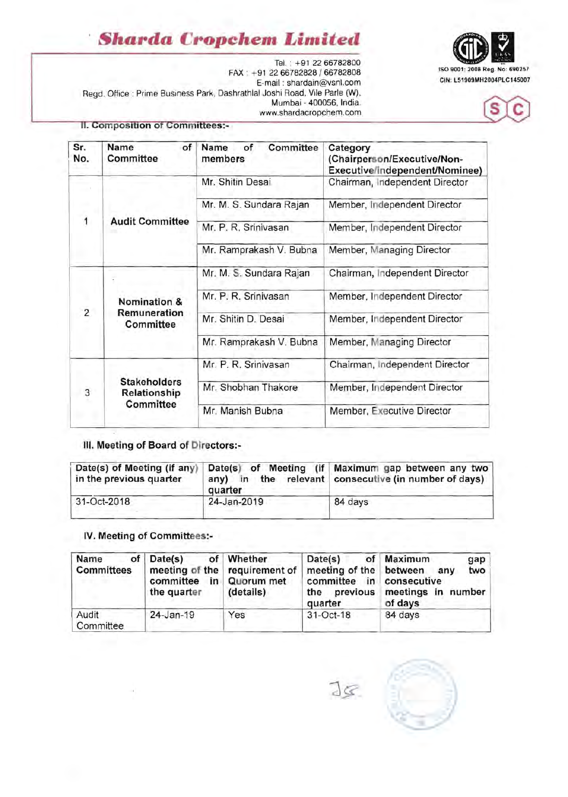Tel. +91 22 66782800<br>FAX : +91 22 66782828 / 66782808 ISO 9001: 2008 Reg. No: 690257<br>E. mail : shardain@vsnl.com CIN: L51909MH2004PLC145007 E-mail : shardain@vsnl.com Regd. Office : Prime Business Park, Dashrathlal Joshi Road, Vile Parle (W), Mumbai - 400056, India. www.shardacropchem .com





#### II. Composition of Committees:-

| Sr.<br>No.     | Name<br>of<br>Committee                                 | Committee<br>Name<br>of<br>members | Category<br>(Chairperson/Executive/Non-<br>Executive/independent/Nominee) |  |
|----------------|---------------------------------------------------------|------------------------------------|---------------------------------------------------------------------------|--|
| 1              |                                                         | Mr. Shitin Desai                   | Chairman, Independent Director                                            |  |
|                | <b>Audit Committee</b>                                  | Mr. M. S. Sundara Rajan            | Member, Independent Director                                              |  |
|                |                                                         | Mr. P. R. Srinivasan               | Member, Independent Director                                              |  |
|                |                                                         | Mr. Ramprakash V. Bubna            | Member, Managing Director                                                 |  |
| $\overline{2}$ | <b>Nomination &amp;</b><br>Remuneration<br>Committee    | Mr. M. S. Sundara Rajan            | Chairman, Independent Director                                            |  |
|                |                                                         | Mr. P. R. Srinivasan               | Member, Independent Director                                              |  |
|                |                                                         | Mr. Shitin D. Desai                | Member, Independent Director                                              |  |
|                |                                                         | Mr. Ramprakash V. Bubna            | Member, Managing Director                                                 |  |
| 3              | <b>Stakeholders</b><br>Relationship<br><b>Committee</b> | Mr. P. R. Srinivasan               | Chairman, Independent Director                                            |  |
|                |                                                         | Mr. Shobhan Thakore                | Member, Independent Director                                              |  |
|                |                                                         | Mr. Manish Bubna                   | Member, Executive Director                                                |  |

### III. Meeting of Board of Directors:

| in the previous quarter | any) in<br>quarter | Date(s) of Meeting (if any) Date(s) of Meeting (if Maximum gap between any two<br>the relevant consecutive (in number of days) |
|-------------------------|--------------------|--------------------------------------------------------------------------------------------------------------------------------|
| 31-Oct-2018             | 24-Jan-2019        | 84 days                                                                                                                        |

#### IV. Meeting of Committees:

| Name<br><b>Committees</b> | $of$ Date(s)<br>of <sub>1</sub><br>committee<br>in<br>the quarter | Whether<br>meeting of the requirement of<br>Quorum met<br>(details) | Date(s)<br>meeting of the between<br>committee in<br>previous<br>the<br>quarter | of Maximum<br>gap<br>two<br>any<br>consecutive<br>meetings in number<br>of days |
|---------------------------|-------------------------------------------------------------------|---------------------------------------------------------------------|---------------------------------------------------------------------------------|---------------------------------------------------------------------------------|
| Audit<br>Committee        | $24 - Jan-19$                                                     | Yes                                                                 | $31-Oct-18$                                                                     | 84 days                                                                         |

Jc.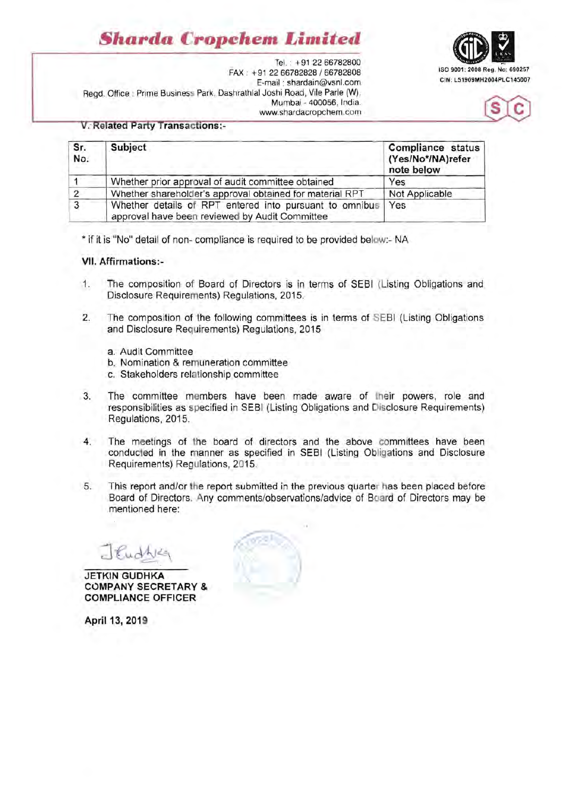

Tel. • +91 2266782800 ISO 9001 : 2008 Reg. No: 690257 FAX . +91 2266782828/66782808 E-mail: shardain@vsnl.com Regd. Office : Prime Business Park, Dashrathlal Joshi Road, Vile Parle (W), Mumbai - 400056, India. www.shardacropchem.com

#### V. Related Party Transactions:-

| Sr.<br>No. | Subject                                                                                                   | Compliance status<br>(Yes/No*/NA)refer<br>note below |
|------------|-----------------------------------------------------------------------------------------------------------|------------------------------------------------------|
|            | Whether prior approval of audit committee obtained                                                        | Yes                                                  |
|            | Whether shareholder's approval obtained for material RPT                                                  | Not Applicable                                       |
| 3          | Whether details of RPT entered into pursuant to omnibus<br>approval have been reviewed by Audit Committee | Yes                                                  |

" if it is "No" detail of non- compliance is required to be provided below:- NA

#### VII. Affirmations:

- 1. The composition of Board of Directors is in terms of SEBI (Listing Obligations and Disclosure Requirements) Regulations, 2015.
- 2. The composition of the following committees is in terms of SEBI (Listing Obligations and Disclosure Requirements) Regulations, 2015
	- a. Audit Committee
	- b. Nomination & remuneration committee
	- c. Stakeholders relationship committee
- 3. The committee members have been made aware of their powers, role and responsibilities as specified in SEBI (Listing Obligations and Disclosure Requirements) Regulations, 2015.
- 4. The meetings of the board of directors and the above committees have been conducted in the manner as specified in SEBI (Listing Obligations and Disclosure Requirements) Regulations, 2015.
- 5. This report and/or the report submitted in the previous quarter has been placed before Board of Directors. Any comments/observations/advice of Board of Directors may be mentioned here:

Jeudhier

JETKIN GUDHKA COMPANY SECRETARY & COMPLIANCE OFFICER

April 13, 2019

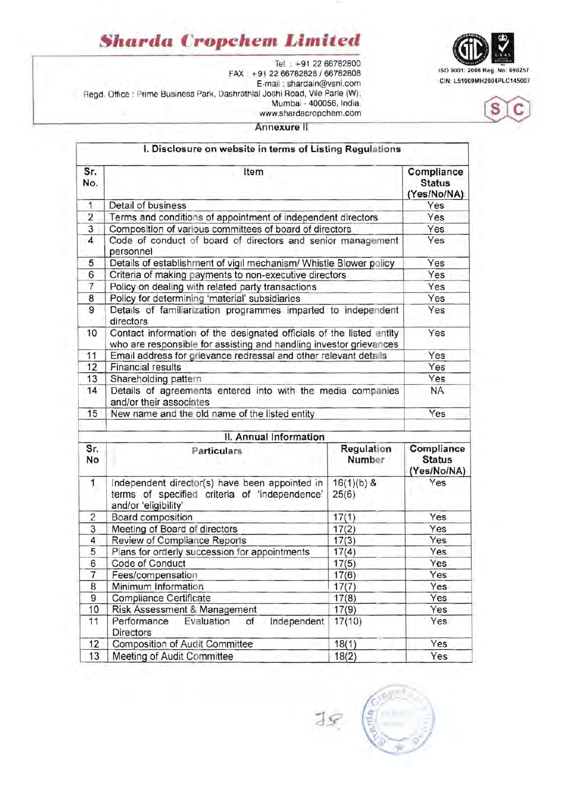Tel. : +91 22 66782800<br>FAX +91 22 66782828 / 66782808 ISO 9001: 2008 Reg. No: 690257<br>E-mail : shardain@vsnl com CIN: L51909MH2004PLC145007 E-mail: shardain@vsnl.com CIN: L51909MH2004PLC145007 Regd. Office : Prime Business Park, Dashrathlal Joshi Road, Vile Parle (W), Mumbai - 400056, India. www.shardacropchem.com

Annexure II

|                 | I. Disclosure on website in terms of Listing Regulations                                                                                   |                                            |                                            |
|-----------------|--------------------------------------------------------------------------------------------------------------------------------------------|--------------------------------------------|--------------------------------------------|
| Sr.<br>No.      | Item                                                                                                                                       | Compliance<br><b>Status</b><br>(Yes/No/NA) |                                            |
| 1               | Detail of business                                                                                                                         |                                            | Yes                                        |
| $\overline{2}$  | Terms and conditions of appointment of independent directors                                                                               |                                            | Yes                                        |
| 3               | Composition of various committees of board of directors                                                                                    |                                            | Yes                                        |
| 4               | Code of conduct of board of directors and senior management<br>personnel                                                                   |                                            | Yes                                        |
| 5               | Details of establishment of vigil mechanism/ Whistle Blower policy                                                                         |                                            | Yes                                        |
| 6               | Criteria of making payments to non-executive directors                                                                                     |                                            | Yes                                        |
| $\overline{7}$  | Policy on dealing with related party transactions                                                                                          |                                            | Yes                                        |
| 8               | Policy for determining 'material' subsidiaries                                                                                             |                                            | Yes                                        |
| 9               | Details of familiarization programmes imparted to independent<br>directors                                                                 |                                            | Yes                                        |
| 10              | Contact information of the designated officials of the listed entity<br>who are responsible for assisting and handling investor grievances |                                            | Yes                                        |
| 11              | Email address for grievance redressal and other relevant details                                                                           |                                            | Yes                                        |
| 12              | <b>Financial results</b>                                                                                                                   |                                            | Yes                                        |
| 13              | Shareholding pattern                                                                                                                       |                                            | Yes                                        |
| 14              | Details of agreements entered into with the media companies<br>and/or their associates                                                     |                                            | <b>NA</b>                                  |
| $\overline{15}$ | New name and the old name of the listed entity                                                                                             |                                            | Yes                                        |
|                 | II. Annual Information                                                                                                                     |                                            |                                            |
| Sr.<br>No       | <b>Particulars</b>                                                                                                                         | Regulation<br>Number                       | Compliance<br><b>Status</b><br>(Yes/No/NA) |
| 1               | Independent director(s) have been appointed in<br>terms of specified criteria of 'independence'<br>and/or 'eligibility'                    | $16(1)(b)$ &<br>25(6)                      | Yes                                        |
| $\overline{c}$  | Board composition                                                                                                                          | 17(1)                                      | Yes                                        |
| 3               | Meeting of Board of directors                                                                                                              | 17(2)                                      | Yes                                        |
| 4               | Review of Compliance Reports                                                                                                               | 17(3)                                      | Yes                                        |
| 5               | Plans for orderly succession for appointments                                                                                              | 17(4)                                      | Yes                                        |
| 6               | Code of Conduct                                                                                                                            | 17(5)                                      | Yes                                        |
| $\overline{7}$  | Fees/compensation                                                                                                                          | 17(6)                                      | Yes                                        |
| 8               | Minimum Information                                                                                                                        | 17(7)                                      | Yes                                        |
| 9               | Compliance Certificate                                                                                                                     | 17(8)                                      | Yes                                        |
| 10              | Risk Assessment & Management                                                                                                               | 17(9)                                      | Yes                                        |
| 11              | Performance Evaluation of<br>Independent<br>Directors                                                                                      | 17(10)                                     | Yes                                        |
| 12              | Composition of Audit Committee                                                                                                             | 18(1)                                      | Yes                                        |
| 13              | Meeting of Audit Committee                                                                                                                 | 18(2)                                      | Yes                                        |





Ś Ć